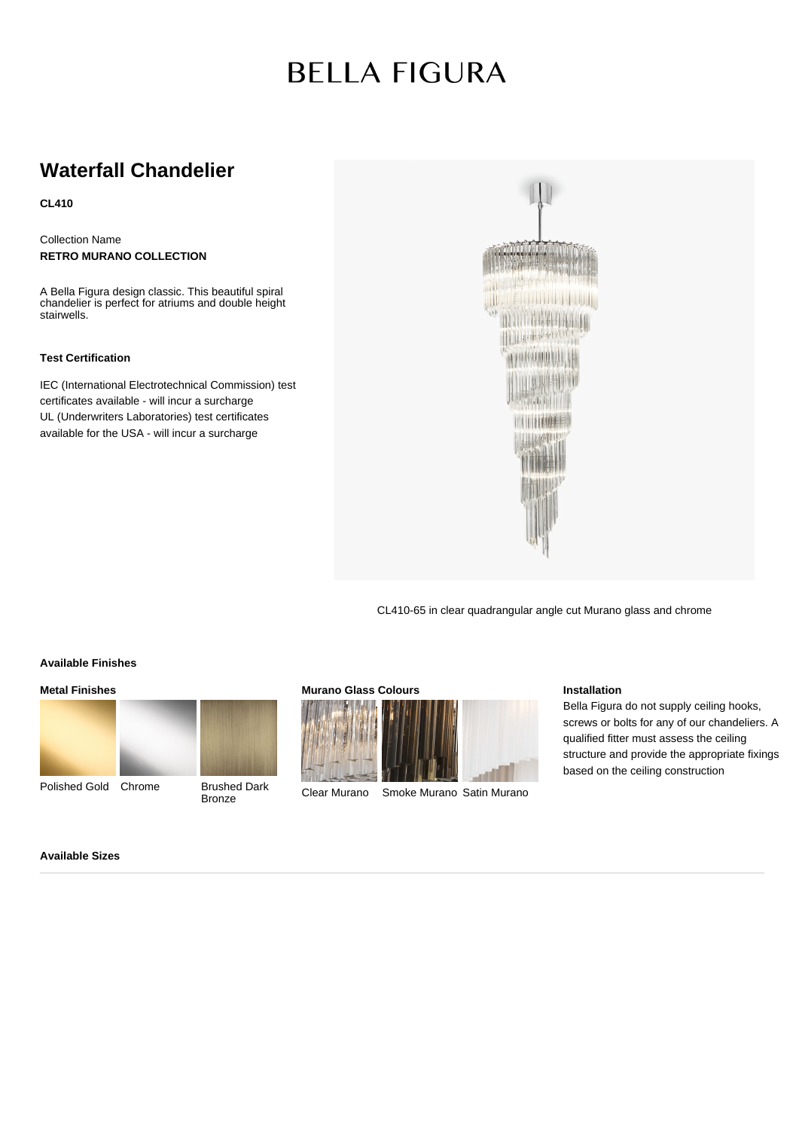# **BELLA FIGURA**

# **Waterfall Chandelier**

**CL410**

Collection Name **RETRO MURANO COLLECTION**

A Bella Figura design classic. This beautiful spiral chandelier is perfect for atriums and double height stairwells.

### **Test Certification**

IEC (International Electrotechnical Commission) test certificates available - will incur a surcharge UL (Underwriters Laboratories) test certificates available for the USA - will incur a surcharge



CL410-65 in clear quadrangular angle cut Murano glass and chrome

#### **Available Finishes**

**Metal Finishes**



Polished Gold Chrome Brushed Dark



**Bronze** 





Clear Murano Smoke Murano Satin Murano

#### **Installation**

Bella Figura do not supply ceiling hooks, screws or bolts for any of our chandeliers. A qualified fitter must assess the ceiling structure and provide the appropriate fixings based on the ceiling construction

**Available Sizes**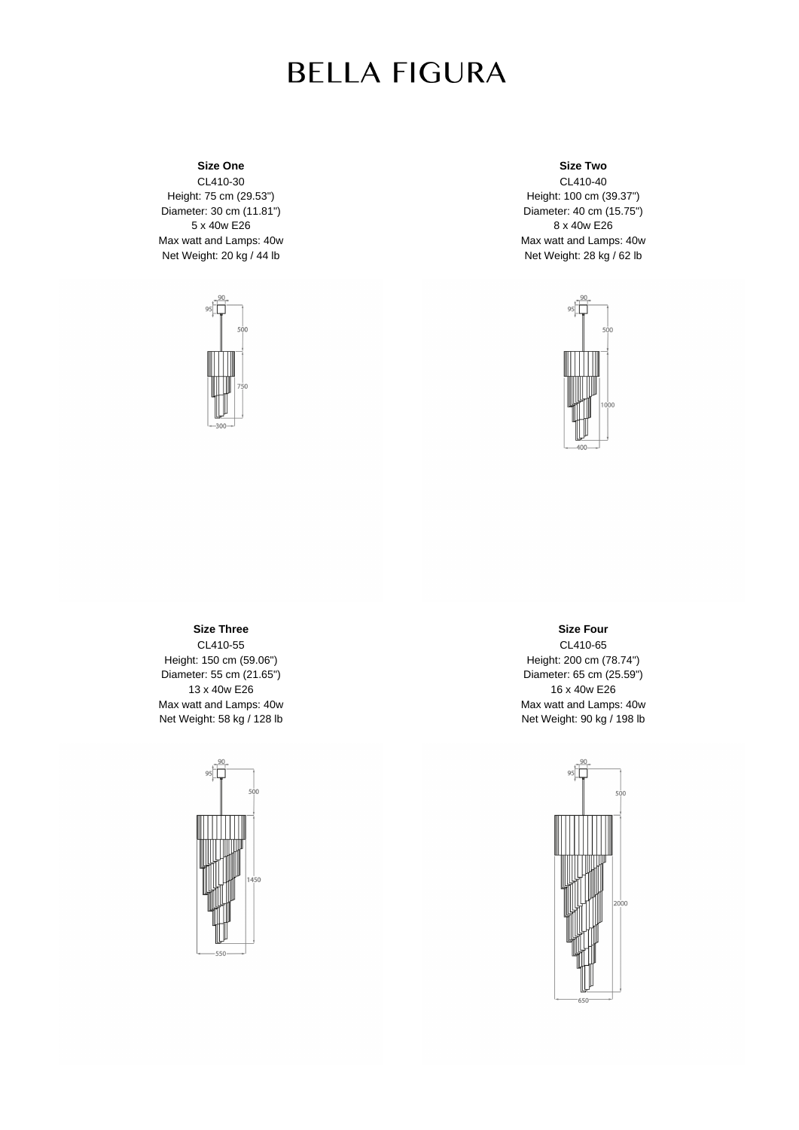# **BELLA FIGURA**

# **Size One**

CL410-30 Height: 75 cm (29.53") Diameter: 30 cm (11.81") 5 x 40w E26 Max watt and Lamps: 40w Net Weight: 20 kg / 44 lb



### **Size Two**

CL410-40 Height: 100 cm (39.37") Diameter: 40 cm (15.75") 8 x 40w E26 Max watt and Lamps: 40w Net Weight: 28 kg / 62 lb



### **Size Three** CL410-55 Height: 150 cm (59.06") Diameter: 55 cm (21.65") 13 x 40w E26 Max watt and Lamps: 40w Net Weight: 58 kg / 128 lb



### **Size Four**

CL410-65 Height: 200 cm (78.74") Diameter: 65 cm (25.59") 16 x 40w E26 Max watt and Lamps: 40w Net Weight: 90 kg / 198 lb